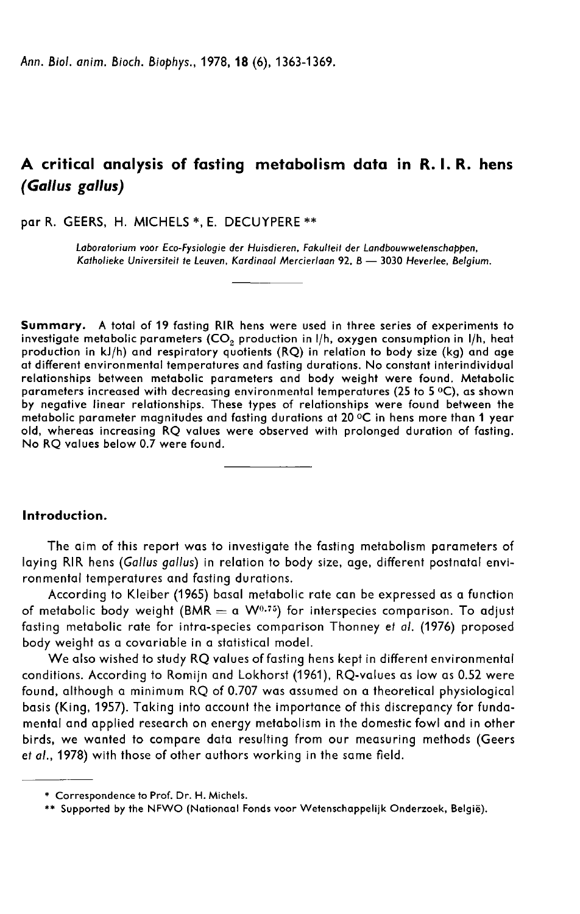Ann. Biol. anim. Bioch. Biophys., 1978, 18 (6), 1363-1369.

# A critical analysis of fasting metabolism data in R. I. R. hens (Gallus gallus)

par R. GEERS, H. MICHELS \*, E. DECUYPERE \*\*

Laboratorium voor Eco-Fysiologie der Huisdieren, Fakulteit der Landbouwwetenschappen, Katholieke Universiteit te Leuven, Kardinaal Mercierlaan 92, B - 3030 Heverlee, Belgium.

Summary. A total of 19 fasting RIR hens were used in three series of experiments to investigate metabolic parameters  $(CO<sub>2</sub>)$  production in I/h, oxygen consumption in I/h, heat production in kJ/h) and respiratory quotients (RQ) in relation to body size (kg) and age at different environmental temperatures and fasting durations. No constant interindividual relationships between metabolic parameters and body weight were found. Metabolic at different environmental temperatures and fasting durations. No constant interindividual<br>relationships between metabolic parameters and body weight were found. Metabolic<br>parameters increased with decreasing environmental by negative linear relationships. These types of relationships were found between the metabolic parameter magnitudes and fasting durations at 20 °C in hens more than 1 year old, whereas increasing RQ values were observed with prolonged duration of fasting. No RQ values below 0.7 were found.

### Introduction.

The aim of this report was to investigate the fasting metabolism parameters of laying RIR hens (Gallus gallus) in relation to body size, age, different postnatal environmental temperatures and fasting durations.

According to Kleiber (1965) basal metabolic rate can be expressed as a function of metabolic body weight (BMR = a  $W^{0.75}$ ) for interspecies comparison. To adjust fasting metabolic rate for intra-species comparison Thonney et al. (1976) proposed body weight as a covariable in a statistical model.

We also wished to study RQ values of fasting hens kept in different environmental conditions. According to Romijn and Lokhorst (1961), RQ-values as low as 0.52 were found, although a minimum RQ of 0.707 was assumed on a theoretical physiological basis (King, 1957). Taking into account the importance of this discrepancy for fundamental and applied research on energy metabolism in the domestic fowl and in other birds, we wanted to compare data resulting from our measuring methods (Geers et al., 1978) with those of other authors working in the same field. d, although a minimum RQ of 0.7(<br>s (King, 1957). Taking into account<br>tal and applied research on energy<br>s, we wanted to compare data re<br>., 1978) with those of other authors.<br>\*\* Supported by the NFWO (Nationaal F

<sup>\*</sup> Correspondence to Prof. Dr. H. Michels.<br>\*\* Supported by the NFWO (Nationaal Fonds voor Wetenschappelijk Onderzoek, België).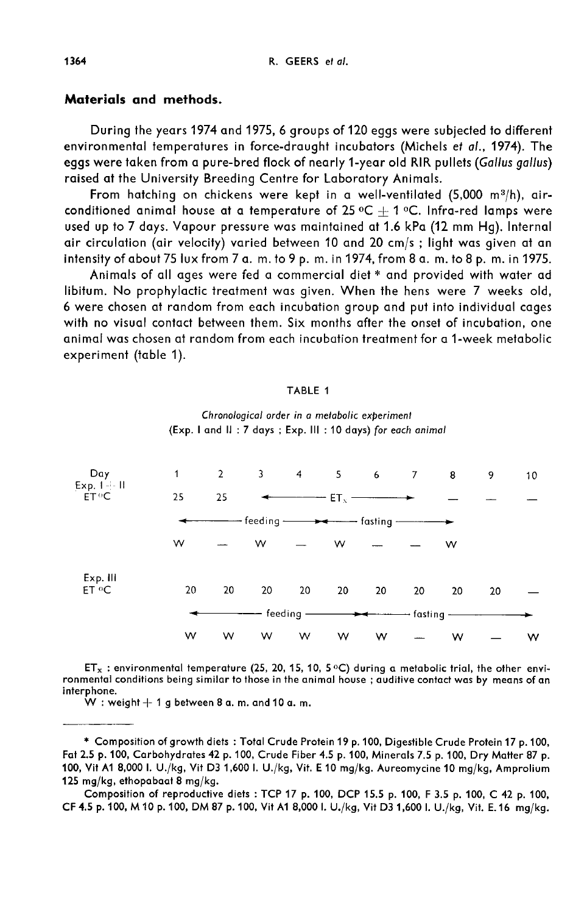### Materials and methods.

During the years 1974 and 1975, 6 groups of 120 eggs were subjected to different environmental temperatures in force-draught incubators (Michels et al., 1974). The eggs were taken from a pure-bred flock of nearly 1-year old RIR pullets (Gallus gallus) raised at the University Breeding Centre for Laboratory Animals.

From hatching on chickens were kept in a well-ventilated (5,000 m3/h), airconditioned animal house at a temperature of 25 °C  $+$  1 °C. Infra-red lamps were used up to 7 days. Vapour pressure was maintained at 1.6 kPa (12 mm Hg). Internal air circulation (air velocity) varied between 10 and 20 cm/s ; light was given at an intensity of about 75 lux from 7 a. m. to 9 p. m. in 1974, from 8 a. m. to 8 p. m. in 1975.

Animals of all ages were fed a commercial diet \* and provided with water ad libitum. No prophylactic treatment was given. When the hens were 7 weeks old, 6 were chosen at random from each incubation group and put into individual cages with no visual contact between them. Six months after the onset of incubation, one animal was chosen at random from each incubation treatment for a 1-week metabolic experiment (table 1).

#### TABLE 1

Chronological order in a metabolic experiment (Exp. I and II : 7 days ; Exp. III : 10 days) for each animal

| Day                                | $\mathbf{1}$ | $2 \left( \frac{1}{2} \right)$ | $3^{\circ}$                                                           |                   | $4 \quad 5$ |                                                                    | $6 \overline{7}$         | 8  | 9  | 10 |
|------------------------------------|--------------|--------------------------------|-----------------------------------------------------------------------|-------------------|-------------|--------------------------------------------------------------------|--------------------------|----|----|----|
| $Exp. 1 - 11$<br>ET <sup>o</sup> C | 25           | 25                             |                                                                       | ______            | $ET_{x}$    |                                                                    |                          |    |    |    |
|                                    |              |                                | feeding $\longrightarrow$ $\longrightarrow$ fasting $\longrightarrow$ |                   |             |                                                                    |                          |    |    |    |
|                                    | W            | $\overline{\phantom{a}}$       | W                                                                     | $\longrightarrow$ | W.          |                                                                    |                          | W  |    |    |
| Exp. III                           |              |                                |                                                                       |                   |             |                                                                    |                          |    |    |    |
| ET <sup>o</sup> C                  | 20           | 20                             | 20                                                                    | 20                | 20          | 20                                                                 | 20                       | 20 | 20 |    |
|                                    |              |                                |                                                                       | feeding -         |             | $\overbrace{\phantom{aaaaa}}$ fasting $\overline{\phantom{aaaaa}}$ |                          |    |    |    |
|                                    | w            | w                              | W                                                                     | W.                | W           | W                                                                  | $\overline{\phantom{a}}$ | w  |    | w  |

 $ET_x$ : environmental temperature (25, 20, 15, 10, 5 °C) during a metabolic trial, the other environmental conditions being similar to those in the animal house; auditive contact was by means of an interphone.

 $\mathsf{\dot{W}}$  : weight  $+$  1 g between 8 a. m. and 10 a. m.

Composition of reproductive diets : TCP 17 p. 100, DCP 15.5 p. 100, F 3.5 p. 100, C 42 p. 100, CF 4.5 p. 100, M 10 p. 100, DM 87 p. 100, Vit A1 8,000 l. U./kg, Vit D3 1,600 l. U./kg, Vit. E. 16 mg/kg.

<sup>\*</sup> Composition of growth diets: Total Crude Protein 19 p. 100, Digestible Crude Protein 17 p. 100, Fat 2.5 p. 100, Carbohydrates 42 p. 100, Crude Fiber 4.5 p. 100, Minerals 7.5 p. 100, Dry Matter 87 p. 100, Vit A1 8,000 I. U./kg, Vit D3 1,600 I. U./kg, Vit. E 10 mg/kg. Aureomycine 10 mg/kg, Amprolium 125 mg/kg, ethopabaat 8 mg/kg.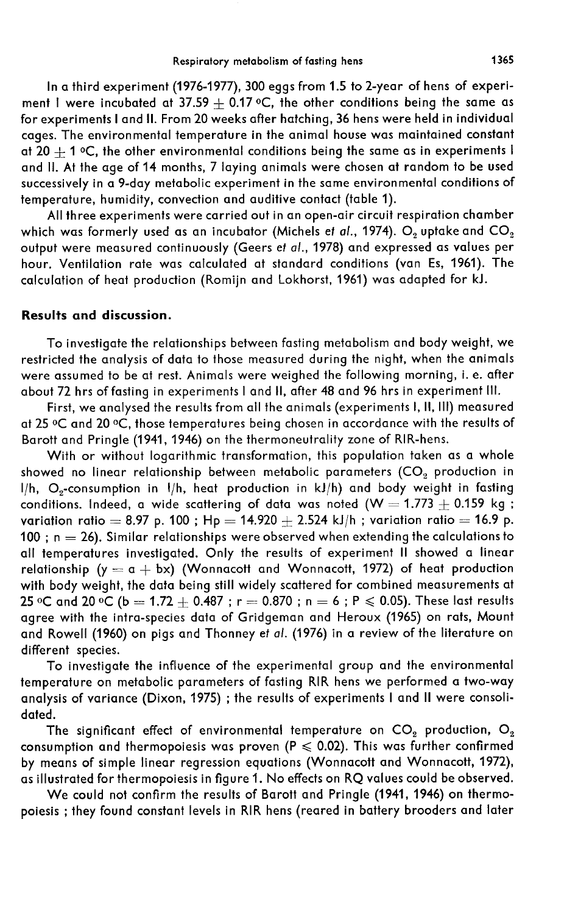In a third experiment (1976-1977), 300 eggs from 1.5 to 2-year of hens of experiment I were incubated at 37.59  $+$  0.17 °C, the other conditions being the same as for experiments I and II. From 20 weeks after hatching, 36 hens were held in individual cages. The environmental temperature in the animal house was maintained constant at  $20 + 1$  °C, the other environmental conditions being the same as in experiments I and II. At the age of 14 months, 7 laying animals were chosen at random to be used successively in a 9-day metabolic experiment in the same environmental conditions of temperature, humidity, convection and auditive contact (table 1).

All three experiments were carried out in an open-air circuit respiration chamber which was formerly used as an incubator (Michels et al., 1974).  $O_2$  uptake and  $CO_2$ output were measured continuously (Geers et al., 1978) and expressed as values per hour. Ventilation rate was calculated at standard conditions (van Es, 1961). The calculation of heat production (Romijn and Lokhorst, 1961) was adapted for kJ.

# Results and discussion.

To investigate the relationships between fasting metabolism and body weight, we restricted the analysis of data to those measured during the night, when the animals were assumed to be at rest. Animals were weighed the following morning, i. e. after about 72 hrs of fasting in experiments I and II, after 48 and 96 hrs in experiment Ill.

First, we analysed the results from all the animals (experiments I, II, III) measured at 25  $\,^{\circ}$ C and 20  $\,^{\circ}$ C, those temperatures being chosen in accordance with the results of Barott and Pringle (1941, 1946) on the thermoneutrality zone of RIR-hens.

With or without logarithmic transformation, this population taken as a whole showed no linear relationship between metabolic parameters (CO<sub>2</sub> production in I/h, 0,-consumption in 1/h, heat production in kJ/h) and body weight in fasting conditions. Indeed, a wide scattering of data was noted (W =  $1.773 \pm 0.159$  kg; variation ratio = 8.97 p. 100 ; Hp = 14.920  $\pm$  2.524 kJ/h ; variation ratio = 16.9 p. 100 ;  $n = 26$ ). Similar relationships were observed when extending the calculations to all temperatures investigated. Only the results of experiment II showed a linear relationship ( $y = a + bx$ ) (Wonnacott and Wonnacott, 1972) of heat production with body weight, the data being still widely scattered for combined measurements at 25 °C and 20 °C (b = 1.72 + 0.487 ; r = 0.870 ; n = 6 ; P  $\leq$  0.05). These last results agree with the intra-species data of Gridgeman and Heroux (1965) on rats, Mount and Rowell (1960) on pigs and Thonney et al. (1976) in a review of the literature on different species.

To investigate the influence of the experimental group and the environmental temperature on metabolic parameters of fasting RIR hens we performed a two-way analysis of variance (Dixon, 1975) ; the results of experiments I and II were consolidated.

The significant effect of environmental temperature on  $CO<sub>2</sub>$  production,  $O<sub>2</sub>$ consumption and thermopoiesis was proven ( $P \le 0.02$ ). This was further confirmed by means of simple linear regression equations (Wonnacott and Wonnacott, 1972), as illustrated for thermopoiesis in figure 1. No effects on RQ values could be observed.

We could not confirm the results of Barott and Pringle (1941, 1946) on thermopoiesis ; they found constant levels in RIR hens (reared in battery brooders and later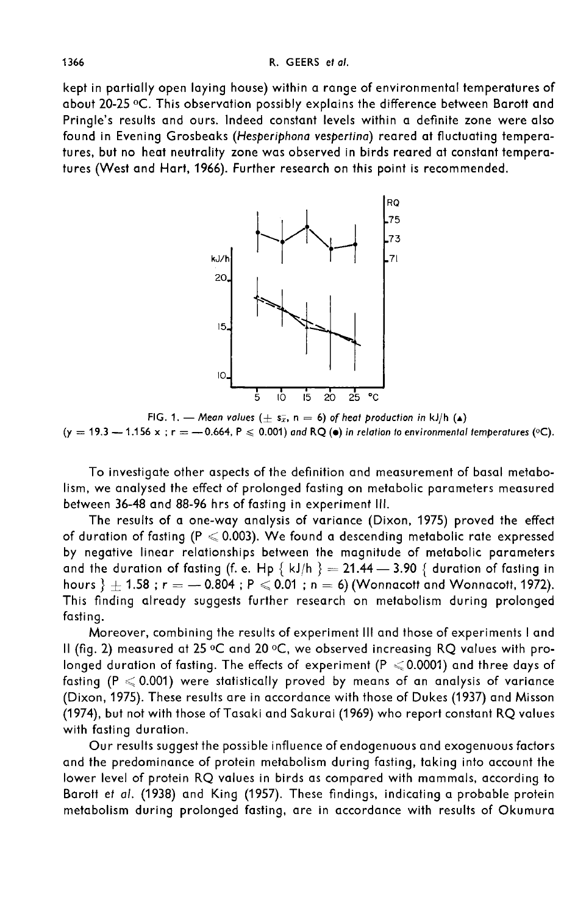#### R. GEERS et al.

kept in partially open laying house) within a range of environmental temperatures of about 20-25 °C. This observation possibly explains the difference between Barott and Pringle's results and ours. Indeed constant levels within a definite zone were also found in Evening Grosbeaks (Hesperiphona vespertina) reared at fluctuating temperatures, but no heat neutrality zone was observed in birds reared at constant temperatures (West and Hart, 1966). Further research on this point is recommended.



FIG. 1. — Mean values ( $\pm s_{\bar{x}}$ , n = 6) of heat production in kJ/h ( $\triangle$ )  $(y = 19.3 - 1.156 x$ ;  $r = -0.664$ ,  $P \le 0.001$ ) and RQ ( $\bullet$ ) in relation to environmental temperatures (°C).

To investigate other aspects of the definition and measurement of basal metabolism, we analysed the effect of prolonged fasting on metabolic parameters measured between 36-48 and 88-96 hrs of fasting in experiment III.

The results of a one-way analysis of variance (Dixon, 1975) proved the effect of duration of fasting (P  $\leqslant$  0.003). We found a descending metabolic rate expressed by negative linear relationships between the magnitude of metabolic parameters and the duration of fasting (f. e. Hp  $\{ kJ/h \} = 21.44 - 3.90 \{$  duration of fasting in hours }  $\pm$  1.58 ; r = -0.804 ; P  $\leq$  0.01 ; n = 6) (Wonnacott and Wonnacott, 1972). This finding already suggests further research on metabolism during prolonged fasting.

Moreover, combining the results of experiment III and those of experiments I and II (fig. 2) measured at 25 °C and 20 °C, we observed increasing RQ values with prolonged duration of fasting. The effects of experiment (P < 0.0001) and three days of fasting ( $P \le 0.001$ ) were statistically proved by means of an analysis of variance (Dixon, 1975). These results are in accordance with those of Dukes (1937) and Misson (1974), but not with those of Tasaki and Sakurai (1969) who report constant RQ values with fasting duration.

Our results suggest the possible influence of endogenuous and exogenuous factors and the predominance of protein metabolism during fasting, taking into account the lower level of protein RQ values in birds as compared with mammals, according to Barott et al. (1938) and King (1957). These findings, indicating a probable protein metabolism during prolonged fasting, are in accordance with results of Okumura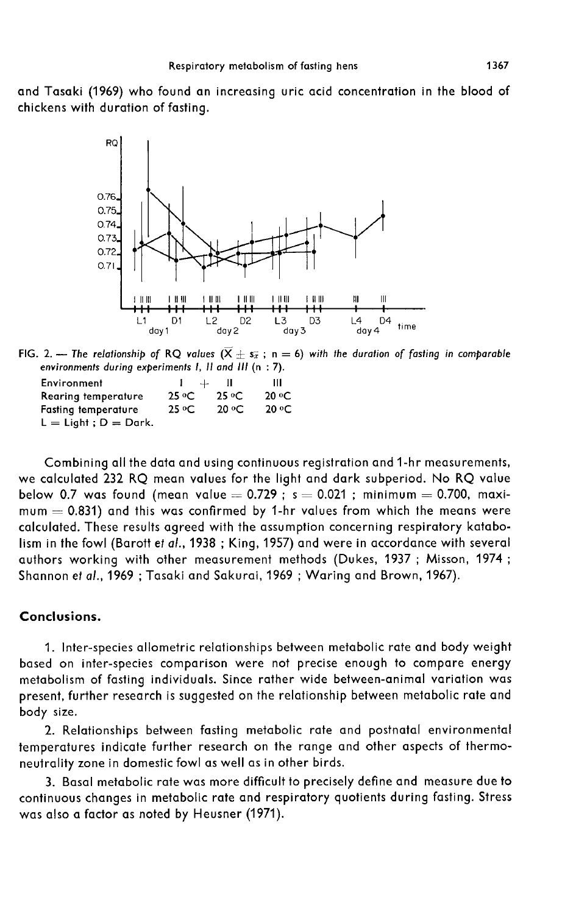and Tasaki (1969) who found an increasing uric acid concentration in the blood of chickens with duration of fasting.



FIG. 2. — The relationship of RQ values  $(\overline{X} \pm s_{\overline{x}})$ ; n = 6) with the duration of fasting in comparable environments during experiments 1, 11 and 111 (n : 7).

| Environment                | $+$    | ш               | Ш                       |
|----------------------------|--------|-----------------|-------------------------|
| Rearing temperature        | 25 °C  | 25 °C.          | $20 \text{ }^{\circ}$ C |
| <b>Fasting temperature</b> | 25 °C. | $20 \text{ °C}$ | $20 \text{°C}$          |
| $L = Light$ ; $D = Dark$ . |        |                 |                         |

Combining all the data and using continuous registration and 1-hr measurements, we calculated 232 RQ mean values for the light and dark subperiod. No RQ value below 0.7 was found (mean value  $= 0.729$ ; s  $= 0.021$ ; minimum  $= 0.700$ , maxi $mum = 0.831$ ) and this was confirmed by 1-hr values from which the means were calculated. These results agreed with the assumption concerning respiratory katabolism in the fowl (Barott et al., 1938 ; King, 1957) and were in accordance with several authors working with other measurement methods (Dukes, 1937 ; Misson, 1974 ; Shannon et al., 1969 ; Tasaki and Sakurai, 1969 ; Waring and Brown, 1967).

# Conclusions.

1. Inter-species allometric relationships between metabolic rate and body weight based on inter-species comparison were not precise enough to compare energy metabolism of fasting individuals. Since rather wide between-animal variation was present, further research is suggested on the relationship between metabolic rate and body size.

2. Relationships between fasting metabolic rate and postnatal environmental temperatures indicate further research on the range and other aspects of thermoneutrality zone in domestic fowl as well as in other birds.

3. Basal metabolic rate was more difficult to precisely define and measure due to continuous changes in metabolic rate and respiratory quotients during fasting. Stress was also a factor as noted by Heusner (1971).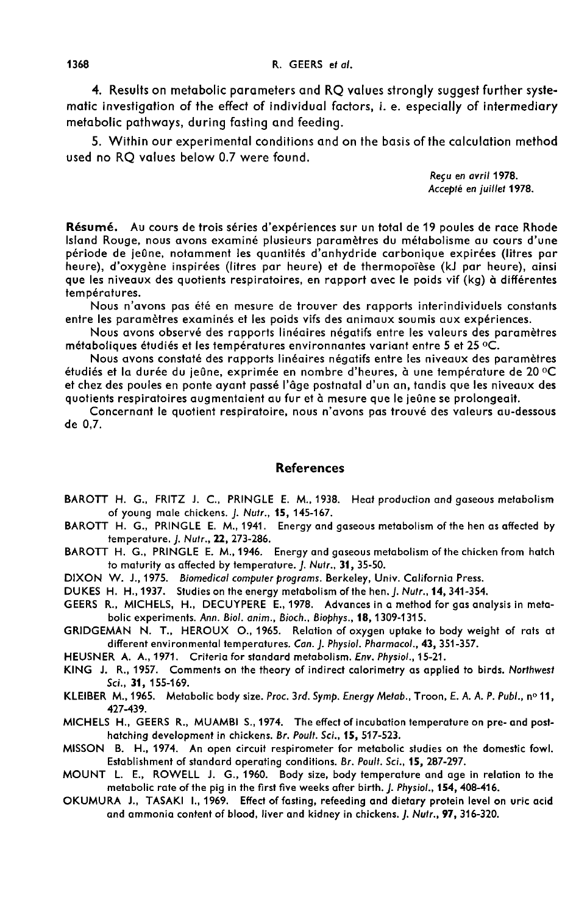4. Results on metabolic parameters and RQ values strongly suggest further systematic investigation of the effect of individual factors, i. e. especially of intermediary metabolic pathways, during fasting and feeding.

5. Within our experimental conditions and on the basis of the calculation method used no RQ values below 0.7 were found.

> Reçu en avril 1978. Accepté en juillet 1978.

Résumé. Au cours de trois séries d'expériences sur un total de 19 poules de race Rhode Island Rouge, nous avons examiné plusieurs paramètres du métabolisme au cours d'une période de jeûne, notamment les quantités d'anhydride carbonique expirées (litres par heure), d'oxygène inspirées (litres par heure) et de thermopoïèse (kJ par heure), ainsi que les niveaux des quotients respiratoires, en rapport avec le poids vif (kg) à différentes températures.

Nous n'avons pas été en mesure de trouver des rapports interindividuels constants entre les paramètres examinés et les poids vifs des animaux soumis aux expériences.

Nous avons observé des rapports linéaires négatifs entre les valeurs des paramètres métaboliques étudiés et les températures environnantes variant entre 5 et 25 °C.

Nous avons constaté des rapports linéaires négatifs entre les niveaux des paramètres étudiés et la durée du jeûne, exprimée en nombre d'heures, à une température de 20 °C et chez des poules en ponte ayant passé l'âge postnatal d'un an, tandis que les niveaux des quotients respiratoires augmentaient au fur et à mesure que le jeûne se prolongeait.

Concernant le quotient respiratoire, nous n'avons pas trouvé des valeurs au-dessous de 0,7.

## References

- BAROTT H. G., FRITZ J. C., PRINGLE E. M., 1938. Heat production and gaseous metabolism of young male chickens. J. Nutr., 15, 145-167.
- BAROTT H. G., PRINGLE E. M., 1941. Energy and gaseous metabolism of the hen as affected by temperature. J. Nutr., 22, 273-286.
- BAROTT H. G., PRINGLE E. M., 1946. Energy and gaseous metabolism of the chicken from hatch to maturity as affected by temperature. J. Nutr., 31, 35-50.

DIXON W. J., 1975. Biomedical computer programs. Berkeley, Univ. California Press.

- DUKES H. H., 1937. Studies on the energy metabolism of the hen. J. Nutr., 14, 341-354.
- GEERS R., MICHELS, H., DECUYPERE E., 1978. Advances in a method for gas analysis in meta-<br>bolic experiments. Ann. Biol. anim., Bioch., Biobhys., 18, 1309-1315.
- GRIDGEMAN N. T., HEROUX O., 1965. Relation of oxygen uptake to body weight of rats at different environmental temperatures. Can. J. Physiol. Pharmacol., 43, 351-357.
- HEUSNER A. A., 1971. Criteria for standard metabolism. Env. Physiol., 15-21.
- KING J. R., 1957. Comments on the theory of indirect calorimetry as applied to birds. Northwest Sci., 31, 155-169.
- KLEIBER M., 1965. Metabolic body size. Proc. 3rd. Symp. Energy Metab., Troon, E. A. A. P. Pubt., no 11, 427-439.
- MICHELS H., GEERS R., MUAMBI S., 1974. The effect of incubation temperature on pre-and posthatching development in chickens. Br. Poult. Sci., 15, 517-523.
- MISSON B. H., 1974. An open circuit respirometer for metabolic studies on the domestic fowl. Establishment of standard operating conditions. Br. Poult. Sci., 15, 287-297.
- MOUNT L. E., ROWELL J. G., 1960. Body size, body temperature and age in relation to the metabolic rate of the pig in the first five weeks after birth. J. Physiol., 154, 408-416.
- OKUMURA J., TASAKI L, 1969. Effect of fasting, refeeding and dietary protein level on uric acid and ammonia content of blood, liver and kidney in chickens. J. Nutr., 97, 316-320.